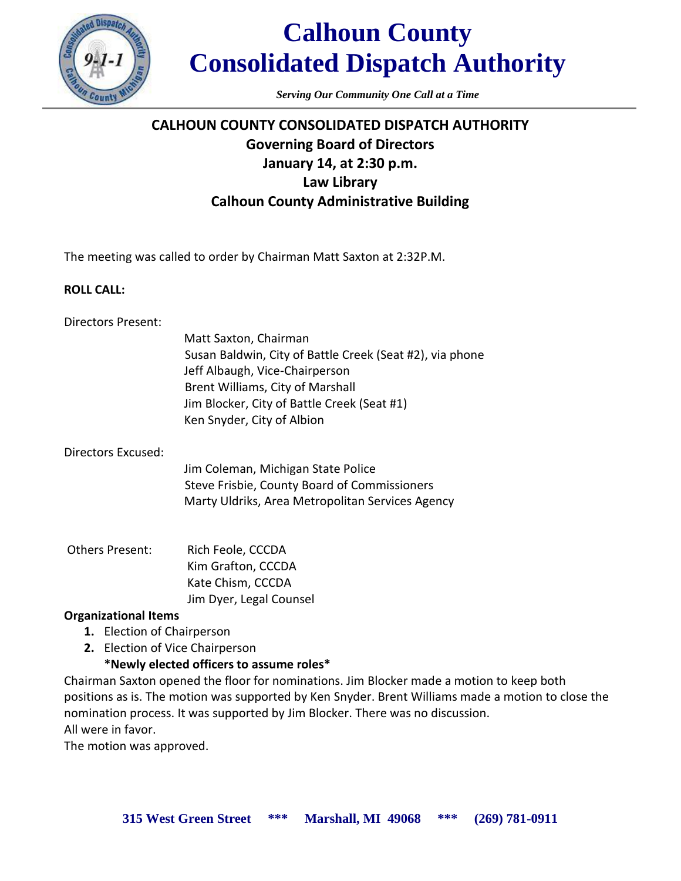

# **Calhoun County Consolidated Dispatch Authority**

*Serving Our Community One Call at a Time*

# **CALHOUN COUNTY CONSOLIDATED DISPATCH AUTHORITY Governing Board of Directors January 14, at 2:30 p.m. Law Library Calhoun County Administrative Building**

The meeting was called to order by Chairman Matt Saxton at 2:32P.M.

# **ROLL CALL:**

# Directors Present:

| Matt Saxton, Chairman                                    |
|----------------------------------------------------------|
| Susan Baldwin, City of Battle Creek (Seat #2), via phone |
| Jeff Albaugh, Vice-Chairperson                           |
| Brent Williams, City of Marshall                         |
| Jim Blocker, City of Battle Creek (Seat #1)              |
| Ken Snyder, City of Albion                               |

# Directors Excused:

Jim Coleman, Michigan State Police Steve Frisbie, County Board of Commissioners Marty Uldriks, Area Metropolitan Services Agency

Others Present: Rich Feole, CCCDA Kim Grafton, CCCDA Kate Chism, CCCDA Jim Dyer, Legal Counsel

# **Organizational Items**

- **1.** Election of Chairperson
- **2.** Election of Vice Chairperson

# **\*Newly elected officers to assume roles\***

Chairman Saxton opened the floor for nominations. Jim Blocker made a motion to keep both positions as is. The motion was supported by Ken Snyder. Brent Williams made a motion to close the nomination process. It was supported by Jim Blocker. There was no discussion. All were in favor.

The motion was approved.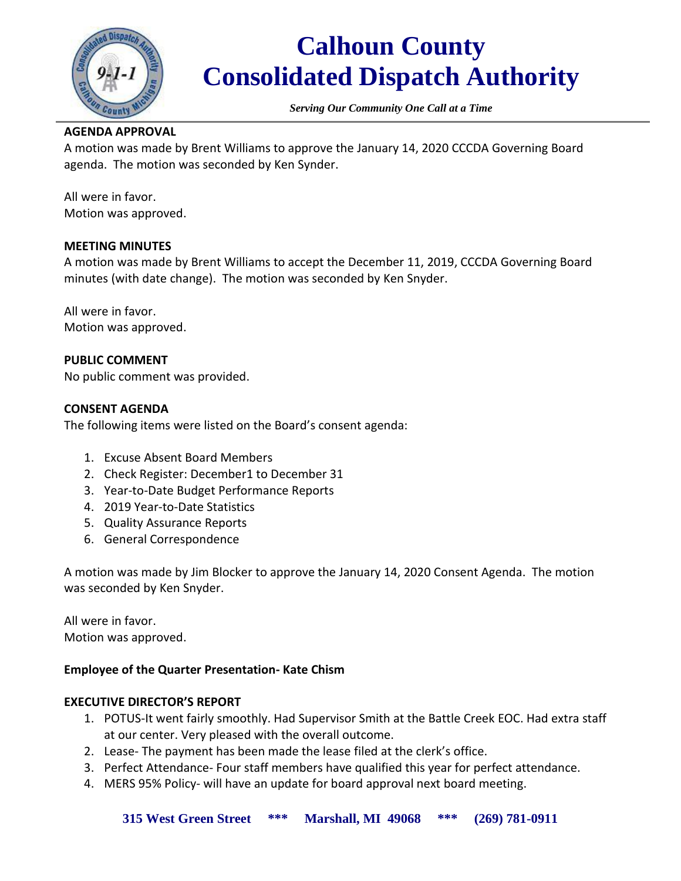

# **Calhoun County Consolidated Dispatch Authority**

*Serving Our Community One Call at a Time*

### **AGENDA APPROVAL**

A motion was made by Brent Williams to approve the January 14, 2020 CCCDA Governing Board agenda. The motion was seconded by Ken Synder.

All were in favor. Motion was approved.

### **MEETING MINUTES**

A motion was made by Brent Williams to accept the December 11, 2019, CCCDA Governing Board minutes (with date change). The motion was seconded by Ken Snyder.

All were in favor. Motion was approved.

# **PUBLIC COMMENT**

No public comment was provided.

# **CONSENT AGENDA**

The following items were listed on the Board's consent agenda:

- 1. Excuse Absent Board Members
- 2. Check Register: December1 to December 31
- 3. Year-to-Date Budget Performance Reports
- 4. 2019 Year-to-Date Statistics
- 5. Quality Assurance Reports
- 6. General Correspondence

A motion was made by Jim Blocker to approve the January 14, 2020 Consent Agenda. The motion was seconded by Ken Snyder.

All were in favor. Motion was approved.

# **Employee of the Quarter Presentation- Kate Chism**

### **EXECUTIVE DIRECTOR'S REPORT**

- 1. POTUS-It went fairly smoothly. Had Supervisor Smith at the Battle Creek EOC. Had extra staff at our center. Very pleased with the overall outcome.
- 2. Lease- The payment has been made the lease filed at the clerk's office.
- 3. Perfect Attendance- Four staff members have qualified this year for perfect attendance.
- 4. MERS 95% Policy- will have an update for board approval next board meeting.